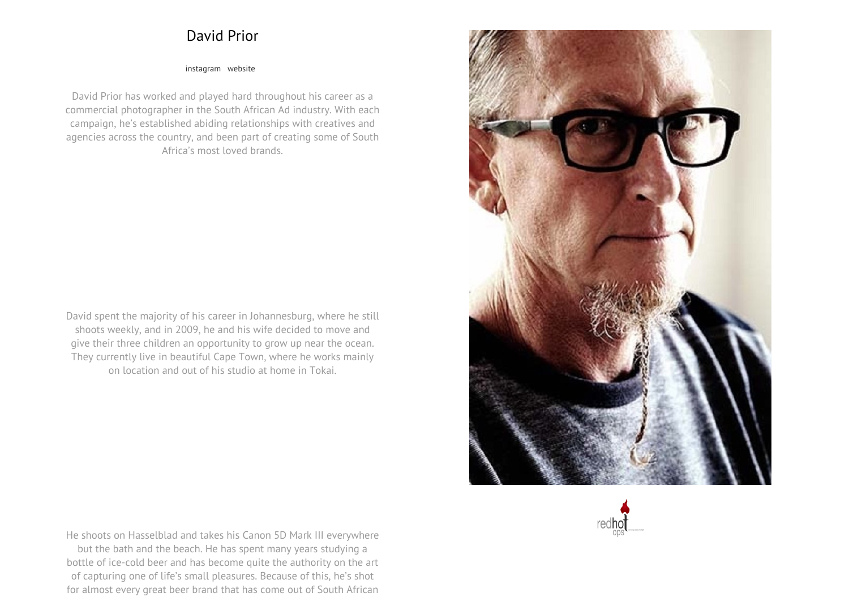## **David Prior**

## **[instagram](https://www.instagram.com/davidcharlesprior) [website](http://www.davidprior.photography)**

**David Prior has worked and played hard throughout his career as <sup>a</sup> commercial photographer in the South African Ad industry. With each campaign, he's established abiding relationships with creatives and agencies across the country, and been part of creating some of South Africa's most loved brands.**

**David spent the majority of his career in Johannesburg, where he still shoots weekly, and in 2009, he and his wife decided to move and give their three children an opportunity to grow up near the ocean. They currently live in beautiful Cape Town, where he works mainly on location and out of his studio at home in Tokai.**

**He shoots on Hasselblad and takes his Canon 5D Mark III everywhere but the bath and the beach. He has spent many years studying <sup>a</sup> bottle of ice-cold beer and has become quite the authority on the art of capturing one of life's small pleasures. Because of this, he's shot for almost every great beer brand that has come out of South African**



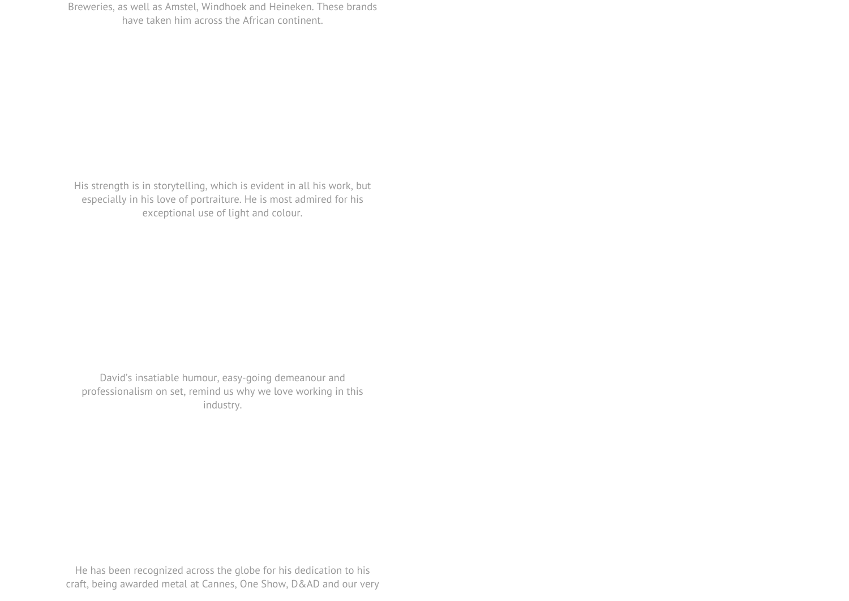**His strength is in storytelling, which is evident in all his work, but especially in his love of portraiture. He is most admired for his exceptional use of light and colour.**

**David's insatiable humour, easy-going demeanour and professionalism on set, remind us why we love working in this industry.**

**He has been recognized across the globe for his dedication to his craft, being awarded metal at Cannes, One Show, D&AD and our very**